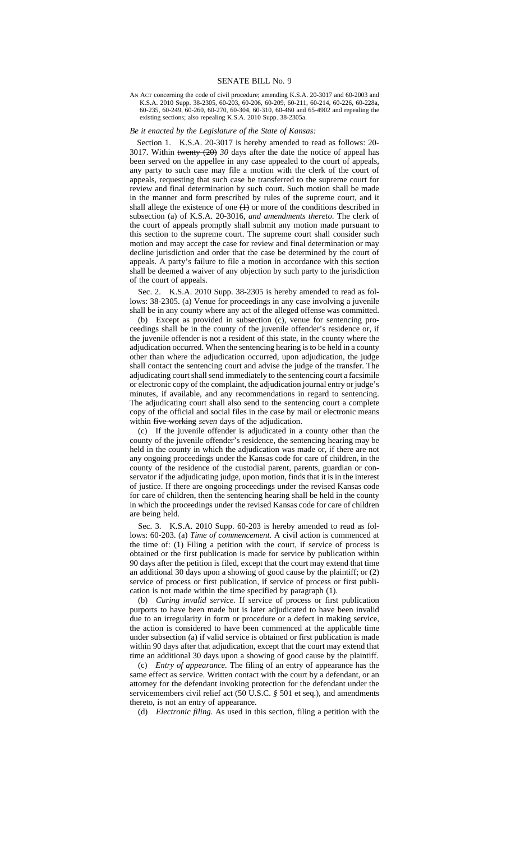AN ACT concerning the code of civil procedure; amending K.S.A. 20-3017 and 60-2003 and K.S.A. 2010 Supp. 38-2305, 60-203, 60-206, 60-209, 60-211, 60-214, 60-226, 60-228a, 60-235, 60-249, 60-260, 60-270, 60-304, 60-310, 60-460 and 65-4902 and repealing the existing sections; also repealing K.S.A. 2010 Supp. 38-2305a.

## *Be it enacted by the Legislature of the State of Kansas:*

Section 1. K.S.A. 20-3017 is hereby amended to read as follows: 20- 3017. Within twenty (20) *30* days after the date the notice of appeal has been served on the appellee in any case appealed to the court of appeals, any party to such case may file a motion with the clerk of the court of appeals, requesting that such case be transferred to the supreme court for review and final determination by such court. Such motion shall be made in the manner and form prescribed by rules of the supreme court, and it shall allege the existence of one  $(1)$  or more of the conditions described in subsection (a) of K.S.A. 20-3016*, and amendments thereto*. The clerk of the court of appeals promptly shall submit any motion made pursuant to this section to the supreme court. The supreme court shall consider such motion and may accept the case for review and final determination or may decline jurisdiction and order that the case be determined by the court of appeals. A party's failure to file a motion in accordance with this section shall be deemed a waiver of any objection by such party to the jurisdiction of the court of appeals.

Sec. 2. K.S.A. 2010 Supp. 38-2305 is hereby amended to read as follows: 38-2305. (a) Venue for proceedings in any case involving a juvenile shall be in any county where any act of the alleged offense was committed.

(b) Except as provided in subsection (c), venue for sentencing proceedings shall be in the county of the juvenile offender's residence or, if the juvenile offender is not a resident of this state, in the county where the adjudication occurred. When the sentencing hearing is to be held in a county other than where the adjudication occurred, upon adjudication, the judge shall contact the sentencing court and advise the judge of the transfer. The adjudicating court shall send immediately to the sentencing court a facsimile or electronic copy of the complaint, the adjudication journal entry or judge's minutes, if available, and any recommendations in regard to sentencing. The adjudicating court shall also send to the sentencing court a complete copy of the official and social files in the case by mail or electronic means within five working *seven* days of the adjudication.

(c) If the juvenile offender is adjudicated in a county other than the county of the juvenile offender's residence, the sentencing hearing may be held in the county in which the adjudication was made or, if there are not any ongoing proceedings under the Kansas code for care of children, in the county of the residence of the custodial parent, parents, guardian or conservator if the adjudicating judge, upon motion, finds that it is in the interest of justice. If there are ongoing proceedings under the revised Kansas code for care of children, then the sentencing hearing shall be held in the county in which the proceedings under the revised Kansas code for care of children are being held.

Sec. 3. K.S.A. 2010 Supp. 60-203 is hereby amended to read as follows: 60-203. (a) *Time of commencement.* A civil action is commenced at the time of: (1) Filing a petition with the court, if service of process is obtained or the first publication is made for service by publication within 90 days after the petition is filed, except that the court may extend that time an additional 30 days upon a showing of good cause by the plaintiff; or (2) service of process or first publication, if service of process or first publication is not made within the time specified by paragraph (1).

(b) *Curing invalid service.* If service of process or first publication purports to have been made but is later adjudicated to have been invalid due to an irregularity in form or procedure or a defect in making service, the action is considered to have been commenced at the applicable time under subsection (a) if valid service is obtained or first publication is made within 90 days after that adjudication, except that the court may extend that time an additional 30 days upon a showing of good cause by the plaintiff.

(c) *Entry of appearance.* The filing of an entry of appearance has the same effect as service. Written contact with the court by a defendant, or an attorney for the defendant invoking protection for the defendant under the servicemembers civil relief act (50 U.S.C. *§* 501 et seq.), and amendments thereto, is not an entry of appearance.

(d) *Electronic filing.* As used in this section, filing a petition with the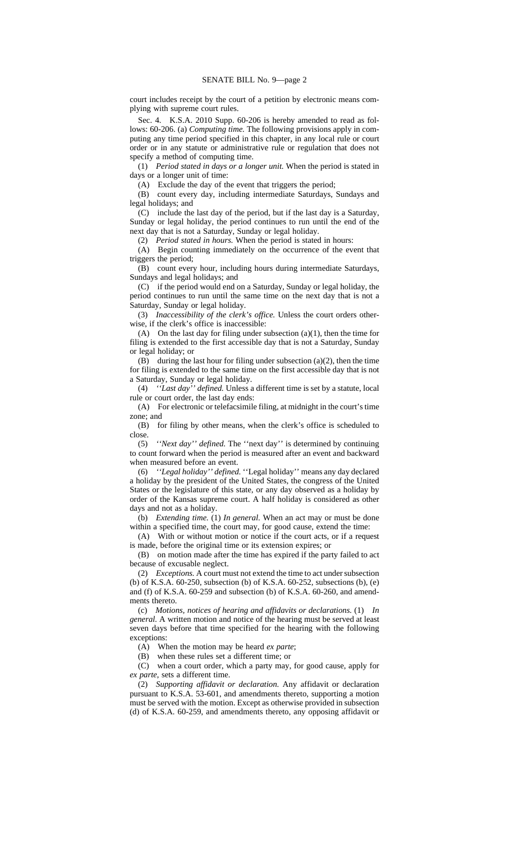court includes receipt by the court of a petition by electronic means complying with supreme court rules.

Sec. 4. K.S.A. 2010 Supp. 60-206 is hereby amended to read as follows: 60-206. (a) *Computing time.* The following provisions apply in computing any time period specified in this chapter, in any local rule or court order or in any statute or administrative rule or regulation that does not specify a method of computing time.

(1) *Period stated in days or a longer unit.* When the period is stated in days or a longer unit of time:

(A) Exclude the day of the event that triggers the period;

(B) count every day, including intermediate Saturdays, Sundays and legal holidays; and

(C) include the last day of the period, but if the last day is a Saturday, Sunday or legal holiday, the period continues to run until the end of the next day that is not a Saturday, Sunday or legal holiday.

(2) *Period stated in hours.* When the period is stated in hours:

(A) Begin counting immediately on the occurrence of the event that triggers the period;

(B) count every hour, including hours during intermediate Saturdays, Sundays and legal holidays; and

(C) if the period would end on a Saturday, Sunday or legal holiday, the period continues to run until the same time on the next day that is not a Saturday, Sunday or legal holiday.

(3) *Inaccessibility of the clerk's office.* Unless the court orders otherwise, if the clerk's office is inaccessible:

(A) On the last day for filing under subsection  $(a)(1)$ , then the time for filing is extended to the first accessible day that is not a Saturday, Sunday or legal holiday; or

(B) during the last hour for filing under subsection  $(a)(2)$ , then the time for filing is extended to the same time on the first accessible day that is not a Saturday, Sunday or legal holiday.

(4) *''Last day'' defined.* Unless a different time is set by a statute, local rule or court order, the last day ends:

(A) For electronic or telefacsimile filing, at midnight in the court's time zone; and

(B) for filing by other means, when the clerk's office is scheduled to close.

(5) *''Next day'' defined.* The ''next day'' is determined by continuing to count forward when the period is measured after an event and backward when measured before an event.

(6) *''Legal holiday'' defined.* ''Legal holiday'' means any day declared a holiday by the president of the United States, the congress of the United States or the legislature of this state, or any day observed as a holiday by order of the Kansas supreme court. A half holiday is considered as other days and not as a holiday.

(b) *Extending time.* (1) *In general.* When an act may or must be done within a specified time, the court may, for good cause, extend the time:

(A) With or without motion or notice if the court acts, or if a request is made, before the original time or its extension expires; or

(B) on motion made after the time has expired if the party failed to act because of excusable neglect.

(2) *Exceptions.* A court must not extend the time to act under subsection (b) of K.S.A. 60-250, subsection (b) of K.S.A. 60-252, subsections (b), (e) and (f) of K.S.A. 60-259 and subsection (b) of K.S.A. 60-260, and amendments thereto.

(c) *Motions, notices of hearing and affidavits or declarations.* (1) *In general.* A written motion and notice of the hearing must be served at least seven days before that time specified for the hearing with the following exceptions:

(A) When the motion may be heard *ex parte*;

(B) when these rules set a different time; or

(C) when a court order, which a party may, for good cause, apply for *ex parte*, sets a different time.

(2) *Supporting affidavit or declaration.* Any affidavit or declaration pursuant to K.S.A. 53-601, and amendments thereto, supporting a motion must be served with the motion. Except as otherwise provided in subsection (d) of K.S.A. 60-259, and amendments thereto, any opposing affidavit or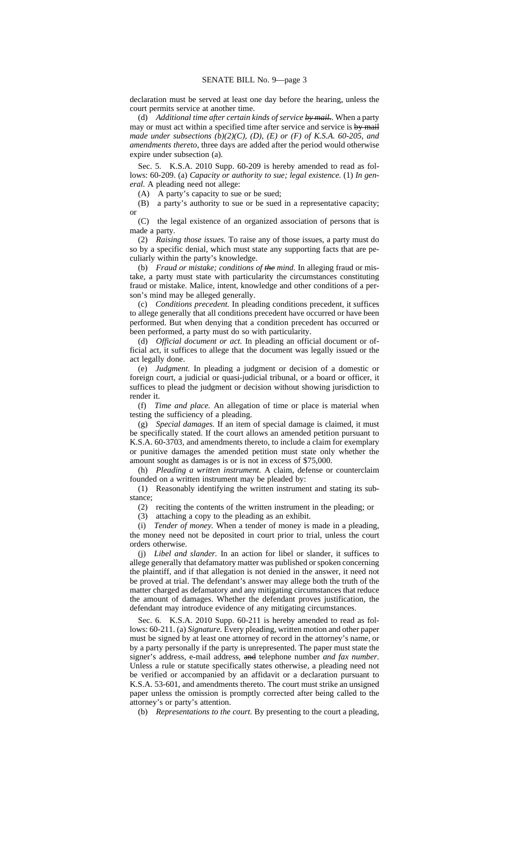declaration must be served at least one day before the hearing, unless the court permits service at another time.

(d) *Additional time after certain kinds of service by mail.*. When a party may or must act within a specified time after service and service is by mail *made under subsections (b)(2)(C), (D), (E) or (F) of K.S.A. 60-205, and amendments thereto*, three days are added after the period would otherwise expire under subsection (a).

Sec. 5. K.S.A. 2010 Supp. 60-209 is hereby amended to read as follows: 60-209. (a) *Capacity or authority to sue; legal existence.* (1) *In general.* A pleading need not allege:

(A) A party's capacity to sue or be sued;

(B) a party's authority to sue or be sued in a representative capacity; or

(C) the legal existence of an organized association of persons that is made a party.

(2) *Raising those issues.* To raise any of those issues, a party must do so by a specific denial, which must state any supporting facts that are peculiarly within the party's knowledge.

(b) *Fraud or mistake; conditions of the mind.* In alleging fraud or mistake, a party must state with particularity the circumstances constituting fraud or mistake. Malice, intent, knowledge and other conditions of a person's mind may be alleged generally.

(c) *Conditions precedent.* In pleading conditions precedent, it suffices to allege generally that all conditions precedent have occurred or have been performed. But when denying that a condition precedent has occurred or been performed, a party must do so with particularity.

(d) *Official document or act.* In pleading an official document or official act, it suffices to allege that the document was legally issued or the act legally done.

(e) *Judgment.* In pleading a judgment or decision of a domestic or foreign court, a judicial or quasi-judicial tribunal, or a board or officer, it suffices to plead the judgment or decision without showing jurisdiction to render it.

(f) *Time and place.* An allegation of time or place is material when testing the sufficiency of a pleading.

(g) *Special damages.* If an item of special damage is claimed, it must be specifically stated. If the court allows an amended petition pursuant to K.S.A. 60-3703, and amendments thereto, to include a claim for exemplary or punitive damages the amended petition must state only whether the amount sought as damages is or is not in excess of \$75,000.

(h) *Pleading a written instrument.* A claim, defense or counterclaim founded on a written instrument may be pleaded by:

(1) Reasonably identifying the written instrument and stating its substance;

(2) reciting the contents of the written instrument in the pleading; or

(3) attaching a copy to the pleading as an exhibit.

(i) *Tender of money.* When a tender of money is made in a pleading, the money need not be deposited in court prior to trial, unless the court orders otherwise.

(j) *Libel and slander.* In an action for libel or slander, it suffices to allege generally that defamatory matter was published or spoken concerning the plaintiff, and if that allegation is not denied in the answer, it need not be proved at trial. The defendant's answer may allege both the truth of the matter charged as defamatory and any mitigating circumstances that reduce the amount of damages. Whether the defendant proves justification, the defendant may introduce evidence of any mitigating circumstances.

Sec. 6. K.S.A. 2010 Supp. 60-211 is hereby amended to read as follows: 60-211. (a) *Signature.* Every pleading, written motion and other paper must be signed by at least one attorney of record in the attorney's name, or by a party personally if the party is unrepresented. The paper must state the signer's address, e-mail address*,* and telephone number *and fax number*. Unless a rule or statute specifically states otherwise, a pleading need not be verified or accompanied by an affidavit or a declaration pursuant to K.S.A. 53-601, and amendments thereto. The court must strike an unsigned paper unless the omission is promptly corrected after being called to the attorney's or party's attention.

(b) *Representations to the court.* By presenting to the court a pleading,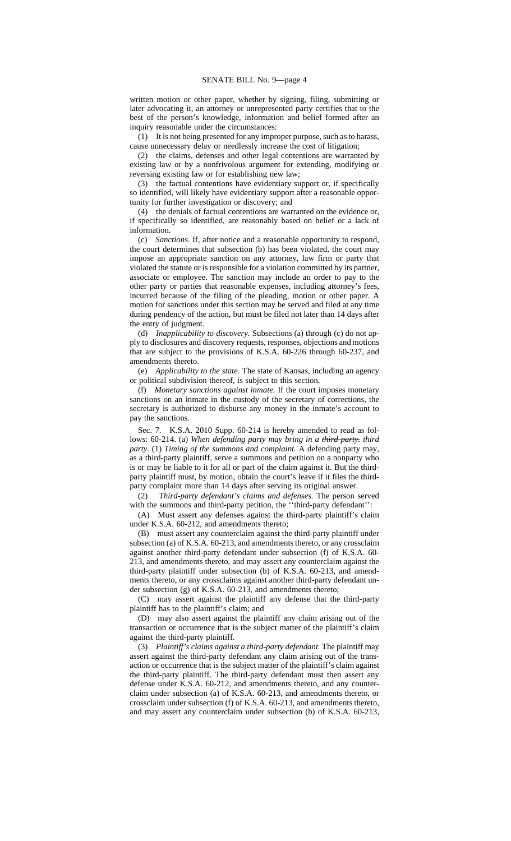written motion or other paper, whether by signing, filing, submitting or later advocating it, an attorney or unrepresented party certifies that to the best of the person's knowledge, information and belief formed after an inquiry reasonable under the circumstances:

(1) It is not being presented for any improper purpose, such as to harass, cause unnecessary delay or needlessly increase the cost of litigation;

(2) the claims, defenses and other legal contentions are warranted by existing law or by a nonfrivolous argument for extending, modifying or reversing existing law or for establishing new law;

(3) the factual contentions have evidentiary support or, if specifically so identified, will likely have evidentiary support after a reasonable opportunity for further investigation or discovery; and

(4) the denials of factual contentions are warranted on the evidence or, if specifically so identified, are reasonably based on belief or a lack of information.

(c) *Sanctions.* If, after notice and a reasonable opportunity to respond, the court determines that subsection (b) has been violated, the court may impose an appropriate sanction on any attorney, law firm or party that violated the statute or is responsible for a violation committed by its partner, associate or employee. The sanction may include an order to pay to the other party or parties that reasonable expenses, including attorney's fees, incurred because of the filing of the pleading, motion or other paper. A motion for sanctions under this section may be served and filed at any time during pendency of the action, but must be filed not later than 14 days after the entry of judgment.

(d) *Inapplicability to discovery.* Subsections (a) through (c) do not apply to disclosures and discovery requests, responses, objections and motions that are subject to the provisions of K.S.A. 60-226 through 60-237, and amendments thereto.

(e) *Applicability to the state.* The state of Kansas, including an agency or political subdivision thereof, is subject to this section.

(f) *Monetary sanctions against inmate.* If the court imposes monetary sanctions on an inmate in the custody of the secretary of corrections, the secretary is authorized to disburse any money in the inmate's account to pay the sanctions.

Sec. 7. K.S.A. 2010 Supp. 60-214 is hereby amended to read as follows: 60-214. (a) *When defending party may bring in a third-party. third party.* (1) *Timing of the summons and complaint.* A defending party may, as a third-party plaintiff, serve a summons and petition on a nonparty who is or may be liable to it for all or part of the claim against it. But the thirdparty plaintiff must, by motion, obtain the court's leave if it files the thirdparty complaint more than 14 days after serving its original answer.

(2) *Third-party defendant's claims and defenses.* The person served with the summons and third-party petition, the ''third-party defendant'':

(A) Must assert any defenses against the third-party plaintiff's claim under K.S.A. 60-212, and amendments thereto;

(B) must assert any counterclaim against the third-party plaintiff under subsection (a) of K.S.A. 60-213, and amendments thereto, or any crossclaim against another third-party defendant under subsection (f) of K.S.A. 60- 213, and amendments thereto, and may assert any counterclaim against the third-party plaintiff under subsection (b) of K.S.A. 60-213, and amendments thereto, or any crossclaims against another third-party defendant under subsection (g) of K.S.A. 60-213, and amendments thereto;

(C) may assert against the plaintiff any defense that the third-party plaintiff has to the plaintiff's claim; and

(D) may also assert against the plaintiff any claim arising out of the transaction or occurrence that is the subject matter of the plaintiff's claim against the third-party plaintiff.

(3) *Plaintiff's claims against a third-party defendant.* The plaintiff may assert against the third-party defendant any claim arising out of the transaction or occurrence that is the subject matter of the plaintiff's claim against the third-party plaintiff. The third-party defendant must then assert any defense under K.S.A. 60-212, and amendments thereto, and any counterclaim under subsection (a) of K.S.A. 60-213, and amendments thereto, or crossclaim under subsection (f) of K.S.A. 60-213, and amendments thereto, and may assert any counterclaim under subsection (b) of K.S.A. 60-213,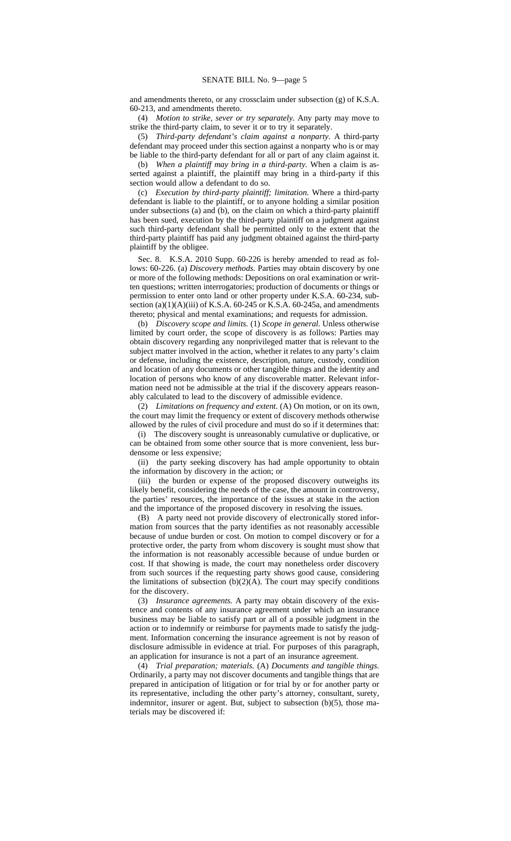and amendments thereto, or any crossclaim under subsection (g) of K.S.A. 60-213, and amendments thereto.

(4) *Motion to strike, sever or try separately.* Any party may move to strike the third-party claim, to sever it or to try it separately.

(5) *Third-party defendant's claim against a nonparty.* A third-party defendant may proceed under this section against a nonparty who is or may be liable to the third-party defendant for all or part of any claim against it.

(b) *When a plaintiff may bring in a third-party.* When a claim is asserted against a plaintiff, the plaintiff may bring in a third-party if this section would allow a defendant to do so.

(c) *Execution by third-party plaintiff; limitation.* Where a third-party defendant is liable to the plaintiff, or to anyone holding a similar position under subsections (a) and (b), on the claim on which a third-party plaintiff has been sued, execution by the third-party plaintiff on a judgment against such third-party defendant shall be permitted only to the extent that the third-party plaintiff has paid any judgment obtained against the third-party plaintiff by the obligee.

Sec. 8. K.S.A. 2010 Supp. 60-226 is hereby amended to read as follows: 60-226. (a) *Discovery methods.* Parties may obtain discovery by one or more of the following methods: Depositions on oral examination or written questions; written interrogatories; production of documents or things or permission to enter onto land or other property under K.S.A. 60-234, subsection (a)(1)(A)(iii) of K.S.A. 60-245 or K.S.A. 60-245a, and amendments thereto; physical and mental examinations; and requests for admission.

(b) *Discovery scope and limits.* (1) *Scope in general.* Unless otherwise limited by court order, the scope of discovery is as follows: Parties may obtain discovery regarding any nonprivileged matter that is relevant to the subject matter involved in the action, whether it relates to any party's claim or defense, including the existence, description, nature, custody, condition and location of any documents or other tangible things and the identity and location of persons who know of any discoverable matter. Relevant information need not be admissible at the trial if the discovery appears reasonably calculated to lead to the discovery of admissible evidence.

(2) *Limitations on frequency and extent.* (A) On motion, or on its own, the court may limit the frequency or extent of discovery methods otherwise allowed by the rules of civil procedure and must do so if it determines that:

(i) The discovery sought is unreasonably cumulative or duplicative, or can be obtained from some other source that is more convenient, less burdensome or less expensive;

(ii) the party seeking discovery has had ample opportunity to obtain the information by discovery in the action; or

(iii) the burden or expense of the proposed discovery outweighs its likely benefit, considering the needs of the case, the amount in controversy, the parties' resources, the importance of the issues at stake in the action and the importance of the proposed discovery in resolving the issues.

(B) A party need not provide discovery of electronically stored information from sources that the party identifies as not reasonably accessible because of undue burden or cost. On motion to compel discovery or for a protective order, the party from whom discovery is sought must show that the information is not reasonably accessible because of undue burden or cost. If that showing is made, the court may nonetheless order discovery from such sources if the requesting party shows good cause, considering the limitations of subsection  $(b)(2)(A)$ . The court may specify conditions for the discovery.

(3) *Insurance agreements.* A party may obtain discovery of the existence and contents of any insurance agreement under which an insurance business may be liable to satisfy part or all of a possible judgment in the action or to indemnify or reimburse for payments made to satisfy the judgment. Information concerning the insurance agreement is not by reason of disclosure admissible in evidence at trial. For purposes of this paragraph, an application for insurance is not a part of an insurance agreement.

(4) *Trial preparation; materials.* (A) *Documents and tangible things.* Ordinarily, a party may not discover documents and tangible things that are prepared in anticipation of litigation or for trial by or for another party or its representative, including the other party's attorney, consultant, surety, indemnitor, insurer or agent. But, subject to subsection (b)(5), those materials may be discovered if: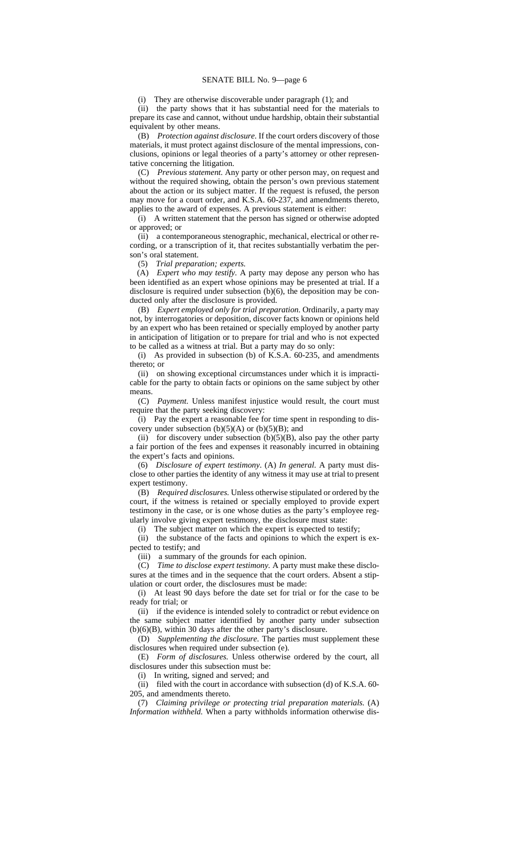(i) They are otherwise discoverable under paragraph (1); and

(ii) the party shows that it has substantial need for the materials to prepare its case and cannot, without undue hardship, obtain their substantial equivalent by other means.

(B) *Protection against disclosure.* If the court orders discovery of those materials, it must protect against disclosure of the mental impressions, conclusions, opinions or legal theories of a party's attorney or other representative concerning the litigation.

(C) *Previous statement.* Any party or other person may, on request and without the required showing, obtain the person's own previous statement about the action or its subject matter. If the request is refused, the person may move for a court order, and K.S.A. 60-237, and amendments thereto, applies to the award of expenses. A previous statement is either:

(i) A written statement that the person has signed or otherwise adopted or approved; or

(ii) a contemporaneous stenographic, mechanical, electrical or other recording, or a transcription of it, that recites substantially verbatim the person's oral statement.

(5) *Trial preparation; experts.*

(A) *Expert who may testify.* A party may depose any person who has been identified as an expert whose opinions may be presented at trial. If a disclosure is required under subsection (b)(6), the deposition may be conducted only after the disclosure is provided.

(B) *Expert employed only for trial preparation.* Ordinarily, a party may not, by interrogatories or deposition, discover facts known or opinions held by an expert who has been retained or specially employed by another party in anticipation of litigation or to prepare for trial and who is not expected to be called as a witness at trial. But a party may do so only:

(i) As provided in subsection (b) of K.S.A. 60-235, and amendments thereto; or

(ii) on showing exceptional circumstances under which it is impracticable for the party to obtain facts or opinions on the same subject by other means.

(C) *Payment.* Unless manifest injustice would result, the court must require that the party seeking discovery:

(i) Pay the expert a reasonable fee for time spent in responding to discovery under subsection  $(b)(5)(A)$  or  $(b)(5)(B)$ ; and

(ii) for discovery under subsection  $(b)(5)(B)$ , also pay the other party a fair portion of the fees and expenses it reasonably incurred in obtaining the expert's facts and opinions.

(6) *Disclosure of expert testimony*. (A) *In general.* A party must disclose to other parties the identity of any witness it may use at trial to present expert testimony.

(B) *Required disclosures.* Unless otherwise stipulated or ordered by the court, if the witness is retained or specially employed to provide expert testimony in the case, or is one whose duties as the party's employee regularly involve giving expert testimony, the disclosure must state:

(i) The subject matter on which the expert is expected to testify;

(ii) the substance of the facts and opinions to which the expert is expected to testify; and

(iii) a summary of the grounds for each opinion.

(C) *Time to disclose expert testimony.* A party must make these disclosures at the times and in the sequence that the court orders. Absent a stipulation or court order, the disclosures must be made:

(i) At least 90 days before the date set for trial or for the case to be ready for trial; or

(ii) if the evidence is intended solely to contradict or rebut evidence on the same subject matter identified by another party under subsection (b)(6)(B), within 30 days after the other party's disclosure.

(D) *Supplementing the disclosure.* The parties must supplement these disclosures when required under subsection (e).

(E) *Form of disclosures.* Unless otherwise ordered by the court, all disclosures under this subsection must be:

(i) In writing, signed and served; and

(ii) filed with the court in accordance with subsection (d) of K.S.A. 60- 205, and amendments thereto.

(7) *Claiming privilege or protecting trial preparation materials.* (A) *Information withheld.* When a party withholds information otherwise dis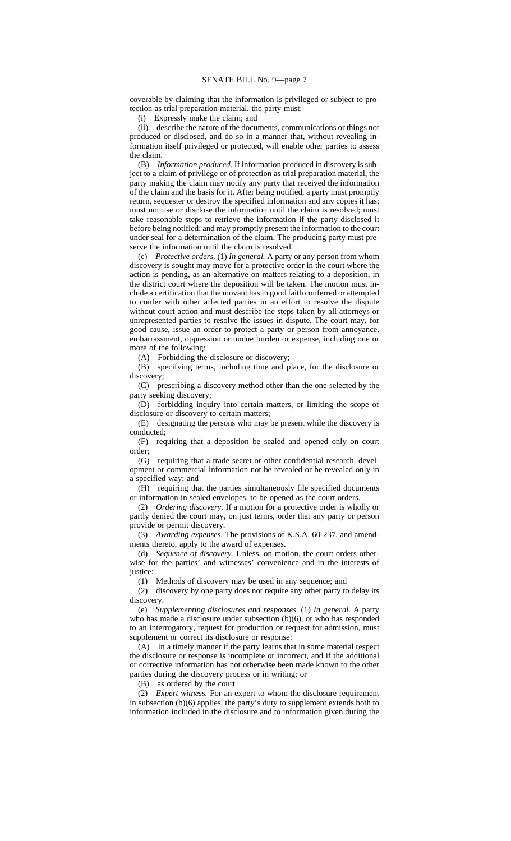coverable by claiming that the information is privileged or subject to protection as trial preparation material, the party must:

(i) Expressly make the claim; and

(ii) describe the nature of the documents, communications or things not produced or disclosed, and do so in a manner that, without revealing information itself privileged or protected, will enable other parties to assess the claim.

(B) *Information produced.* If information produced in discovery is subject to a claim of privilege or of protection as trial preparation material, the party making the claim may notify any party that received the information of the claim and the basis for it. After being notified, a party must promptly return, sequester or destroy the specified information and any copies it has; must not use or disclose the information until the claim is resolved; must take reasonable steps to retrieve the information if the party disclosed it before being notified; and may promptly present the information to the court under seal for a determination of the claim. The producing party must preserve the information until the claim is resolved.

(c) *Protective orders.* (1) *In general.* A party or any person from whom discovery is sought may move for a protective order in the court where the action is pending, as an alternative on matters relating to a deposition, in the district court where the deposition will be taken. The motion must include a certification that the movant has in good faith conferred or attempted to confer with other affected parties in an effort to resolve the dispute without court action and must describe the steps taken by all attorneys or unrepresented parties to resolve the issues in dispute. The court may, for good cause, issue an order to protect a party or person from annoyance, embarrassment, oppression or undue burden or expense, including one or more of the following:

(A) Forbidding the disclosure or discovery;

(B) specifying terms, including time and place, for the disclosure or discovery;

(C) prescribing a discovery method other than the one selected by the party seeking discovery;

(D) forbidding inquiry into certain matters, or limiting the scope of disclosure or discovery to certain matters;

(E) designating the persons who may be present while the discovery is conducted;

(F) requiring that a deposition be sealed and opened only on court order;

(G) requiring that a trade secret or other confidential research, development or commercial information not be revealed or be revealed only in a specified way; and

(H) requiring that the parties simultaneously file specified documents or information in sealed envelopes, to be opened as the court orders.

(2) *Ordering discovery.* If a motion for a protective order is wholly or partly denied the court may, on just terms, order that any party or person provide or permit discovery.

(3) *Awarding expenses.* The provisions of K.S.A. 60-237, and amendments thereto, apply to the award of expenses.

(d) *Sequence of discovery.* Unless, on motion, the court orders otherwise for the parties' and witnesses' convenience and in the interests of justice:

(1) Methods of discovery may be used in any sequence; and

(2) discovery by one party does not require any other party to delay its discovery.

(e) *Supplementing disclosures and responses.* (1) *In general.* A party who has made a disclosure under subsection (b)(6), or who has responded to an interrogatory, request for production or request for admission, must supplement or correct its disclosure or response:

(A) In a timely manner if the party learns that in some material respect the disclosure or response is incomplete or incorrect, and if the additional or corrective information has not otherwise been made known to the other parties during the discovery process or in writing; or

(B) as ordered by the court.

(2) *Expert witness.* For an expert to whom the disclosure requirement in subsection (b)(6) applies, the party's duty to supplement extends both to information included in the disclosure and to information given during the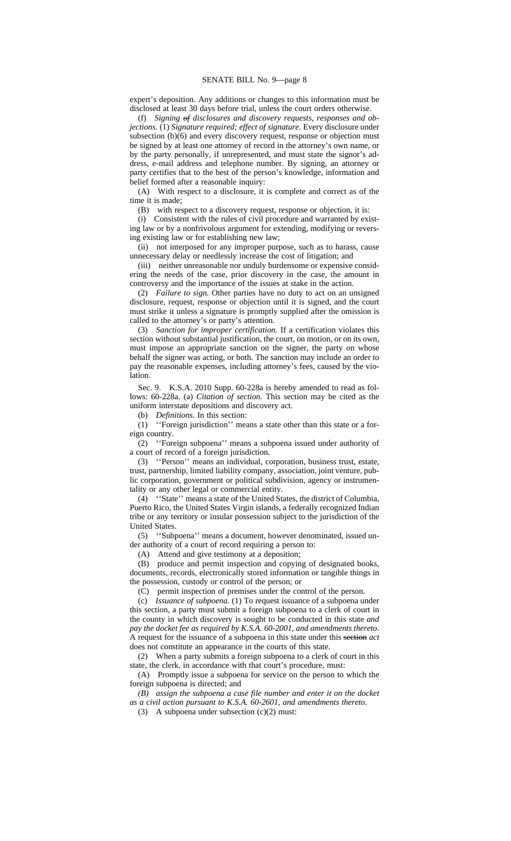expert's deposition. Any additions or changes to this information must be disclosed at least 30 days before trial, unless the court orders otherwise.

(f) *Signing of disclosures and discovery requests, responses and objections.* (1) *Signature required; effect of signature.* Every disclosure under subsection (b)(6) and every discovery request, response or objection must be signed by at least one attorney of record in the attorney's own name, or by the party personally, if unrepresented, and must state the signor's address, e-mail address and telephone number. By signing, an attorney or party certifies that to the best of the person's knowledge, information and belief formed after a reasonable inquiry:

(A) With respect to a disclosure, it is complete and correct as of the time it is made;

(B) with respect to a discovery request, response or objection, it is:

(i) Consistent with the rules of civil procedure and warranted by existing law or by a nonfrivolous argument for extending, modifying or reversing existing law or for establishing new law;

(ii) not interposed for any improper purpose, such as to harass, cause unnecessary delay or needlessly increase the cost of litigation; and

(iii) neither unreasonable nor unduly burdensome or expensive considering the needs of the case, prior discovery in the case, the amount in controversy and the importance of the issues at stake in the action.

(2) *Failure to sign.* Other parties have no duty to act on an unsigned disclosure, request, response or objection until it is signed, and the court must strike it unless a signature is promptly supplied after the omission is called to the attorney's or party's attention.

(3) *Sanction for improper certification.* If a certification violates this section without substantial justification, the court, on motion, or on its own, must impose an appropriate sanction on the signer, the party on whose behalf the signer was acting, or both. The sanction may include an order to pay the reasonable expenses, including attorney's fees, caused by the violation.

Sec. 9. K.S.A. 2010 Supp. 60-228a is hereby amended to read as follows: 60-228a. (a) *Citation of section.* This section may be cited as the uniform interstate depositions and discovery act.

(b) *Definitions.* In this section:

(1) ''Foreign jurisdiction'' means a state other than this state or a foreign country.

(2) ''Foreign subpoena'' means a subpoena issued under authority of a court of record of a foreign jurisdiction.

(3) ''Person'' means an individual, corporation, business trust, estate, trust, partnership, limited liability company, association, joint venture, public corporation, government or political subdivision, agency or instrumentality or any other legal or commercial entity.

(4) ''State'' means a state of the United States, the district of Columbia, Puerto Rico, the United States Virgin islands, a federally recognized Indian tribe or any territory or insular possession subject to the jurisdiction of the United States.

(5) ''Subpoena'' means a document, however denominated, issued under authority of a court of record requiring a person to:

(A) Attend and give testimony at a deposition;

(B) produce and permit inspection and copying of designated books, documents, records, electronically stored information or tangible things in the possession, custody or control of the person; or

(C) permit inspection of premises under the control of the person.

(c) *Issuance of subpoena.* (1) To request issuance of a subpoena under this section, a party must submit a foreign subpoena to a clerk of court in the county in which discovery is sought to be conducted in this state *and pay the docket fee as required by K.S.A. 60-2001, and amendments thereto*. A request for the issuance of a subpoena in this state under this section *act* does not constitute an appearance in the courts of this state.

(2) When a party submits a foreign subpoena to a clerk of court in this state, the clerk, in accordance with that court's procedure, must:

(A) Promptly issue a subpoena for service on the person to which the foreign subpoena is directed; and

*(B) assign the subpoena a case file number and enter it on the docket as a civil action pursuant to K.S.A. 60-2601, and amendments thereto*.

(3) A subpoena under subsection (c)(2) must: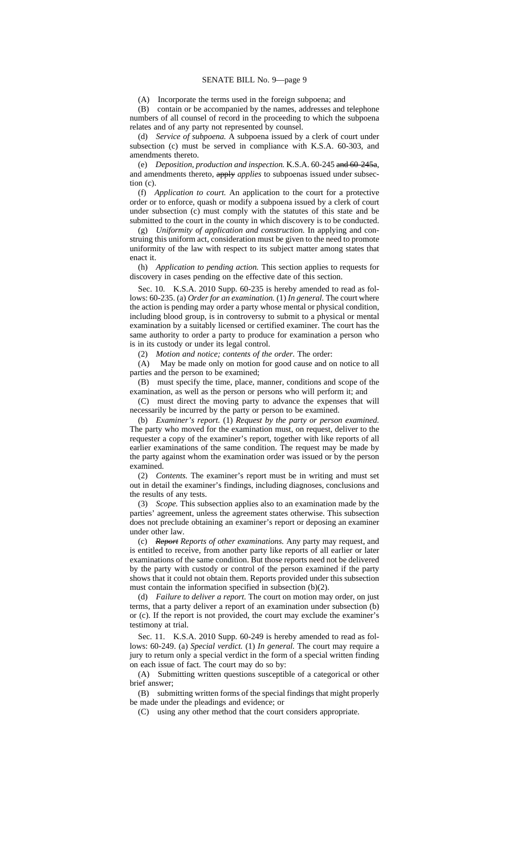(A) Incorporate the terms used in the foreign subpoena; and

(B) contain or be accompanied by the names, addresses and telephone numbers of all counsel of record in the proceeding to which the subpoena relates and of any party not represented by counsel.

(d) *Service of subpoena.* A subpoena issued by a clerk of court under subsection (c) must be served in compliance with K.S.A. 60-303, and amendments thereto.

(e) *Deposition, production and inspection.* K.S.A. 60-245 and 60-245a, and amendments thereto, apply *applies* to subpoenas issued under subsection (c).

(f) *Application to court.* An application to the court for a protective order or to enforce, quash or modify a subpoena issued by a clerk of court under subsection (c) must comply with the statutes of this state and be submitted to the court in the county in which discovery is to be conducted.

(g) *Uniformity of application and construction.* In applying and construing this uniform act, consideration must be given to the need to promote uniformity of the law with respect to its subject matter among states that enact it.

(h) *Application to pending action.* This section applies to requests for discovery in cases pending on the effective date of this section.

Sec. 10. K.S.A. 2010 Supp. 60-235 is hereby amended to read as follows: 60-235. (a) *Order for an examination.* (1) *In general.* The court where the action is pending may order a party whose mental or physical condition, including blood group, is in controversy to submit to a physical or mental examination by a suitably licensed or certified examiner. The court has the same authority to order a party to produce for examination a person who is in its custody or under its legal control.

(2) *Motion and notice; contents of the order.* The order:

(A) May be made only on motion for good cause and on notice to all parties and the person to be examined;

(B) must specify the time, place, manner, conditions and scope of the examination, as well as the person or persons who will perform it; and

(C) must direct the moving party to advance the expenses that will necessarily be incurred by the party or person to be examined.

(b) *Examiner's report.* (1) *Request by the party or person examined.* The party who moved for the examination must, on request, deliver to the requester a copy of the examiner's report, together with like reports of all earlier examinations of the same condition. The request may be made by the party against whom the examination order was issued or by the person examined.

Contents. The examiner's report must be in writing and must set out in detail the examiner's findings, including diagnoses, conclusions and the results of any tests.

(3) *Scope.* This subsection applies also to an examination made by the parties' agreement, unless the agreement states otherwise. This subsection does not preclude obtaining an examiner's report or deposing an examiner under other law.

(c) *Report Reports of other examinations.* Any party may request, and is entitled to receive, from another party like reports of all earlier or later examinations of the same condition. But those reports need not be delivered by the party with custody or control of the person examined if the party shows that it could not obtain them. Reports provided under this subsection must contain the information specified in subsection (b)(2).

(d) *Failure to deliver a report.* The court on motion may order, on just terms, that a party deliver a report of an examination under subsection (b) or (c). If the report is not provided, the court may exclude the examiner's testimony at trial.

Sec. 11. K.S.A. 2010 Supp. 60-249 is hereby amended to read as follows: 60-249. (a) *Special verdict.* (1) *In general.* The court may require a jury to return only a special verdict in the form of a special written finding on each issue of fact. The court may do so by:

(A) Submitting written questions susceptible of a categorical or other brief answer;

(B) submitting written forms of the special findings that might properly be made under the pleadings and evidence; or

(C) using any other method that the court considers appropriate.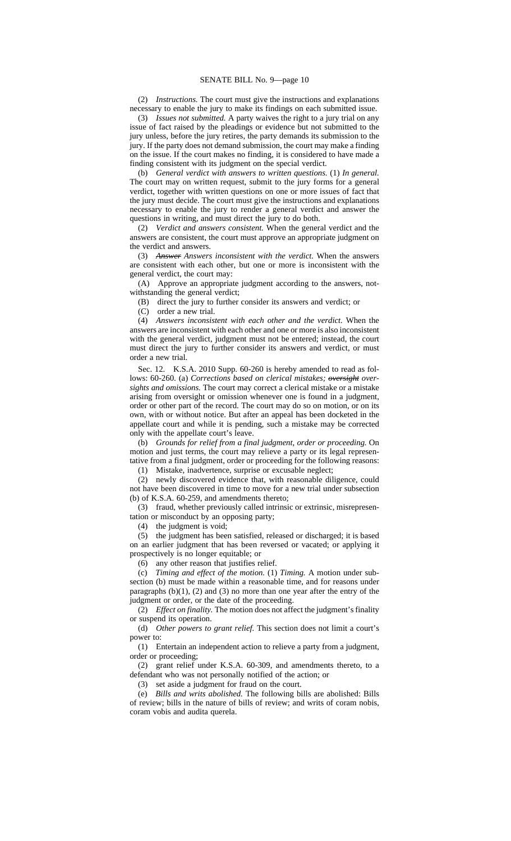(2) *Instructions.* The court must give the instructions and explanations necessary to enable the jury to make its findings on each submitted issue.

(3) *Issues not submitted.* A party waives the right to a jury trial on any issue of fact raised by the pleadings or evidence but not submitted to the jury unless, before the jury retires, the party demands its submission to the jury. If the party does not demand submission, the court may make a finding on the issue. If the court makes no finding, it is considered to have made a finding consistent with its judgment on the special verdict.

(b) *General verdict with answers to written questions.* (1) *In general.* The court may on written request, submit to the jury forms for a general verdict, together with written questions on one or more issues of fact that the jury must decide. The court must give the instructions and explanations necessary to enable the jury to render a general verdict and answer the questions in writing, and must direct the jury to do both.

(2) *Verdict and answers consistent.* When the general verdict and the answers are consistent, the court must approve an appropriate judgment on the verdict and answers.

(3) *Answer Answers inconsistent with the verdict.* When the answers are consistent with each other, but one or more is inconsistent with the general verdict, the court may:

(A) Approve an appropriate judgment according to the answers, notwithstanding the general verdict;

(B) direct the jury to further consider its answers and verdict; or

(C) order a new trial.

(4) *Answers inconsistent with each other and the verdict.* When the answers are inconsistent with each other and one or more is also inconsistent with the general verdict, judgment must not be entered; instead, the court must direct the jury to further consider its answers and verdict, or must order a new trial.

Sec. 12. K.S.A. 2010 Supp. 60-260 is hereby amended to read as follows: 60-260. (a) *Corrections based on clerical mistakes; oversight oversights and omissions.* The court may correct a clerical mistake or a mistake arising from oversight or omission whenever one is found in a judgment, order or other part of the record. The court may do so on motion, or on its own, with or without notice. But after an appeal has been docketed in the appellate court and while it is pending, such a mistake may be corrected only with the appellate court's leave.

(b) *Grounds for relief from a final judgment, order or proceeding.* On motion and just terms, the court may relieve a party or its legal representative from a final judgment, order or proceeding for the following reasons:

(1) Mistake, inadvertence, surprise or excusable neglect;

(2) newly discovered evidence that, with reasonable diligence, could not have been discovered in time to move for a new trial under subsection (b) of K.S.A. 60-259, and amendments thereto;

(3) fraud, whether previously called intrinsic or extrinsic, misrepresentation or misconduct by an opposing party;

(4) the judgment is void;

(5) the judgment has been satisfied, released or discharged; it is based on an earlier judgment that has been reversed or vacated; or applying it prospectively is no longer equitable; or

(6) any other reason that justifies relief.

(c) *Timing and effect of the motion.* (1) *Timing.* A motion under subsection (b) must be made within a reasonable time, and for reasons under paragraphs (b)(1), (2) and (3) no more than one year after the entry of the judgment or order, or the date of the proceeding.

(2) *Effect on finality.* The motion does not affect the judgment's finality or suspend its operation.

(d) *Other powers to grant relief.* This section does not limit a court's power to:

(1) Entertain an independent action to relieve a party from a judgment, order or proceeding;

(2) grant relief under K.S.A. 60-309, and amendments thereto, to a defendant who was not personally notified of the action; or

(3) set aside a judgment for fraud on the court.

(e) *Bills and writs abolished.* The following bills are abolished: Bills of review; bills in the nature of bills of review; and writs of coram nobis, coram vobis and audita querela.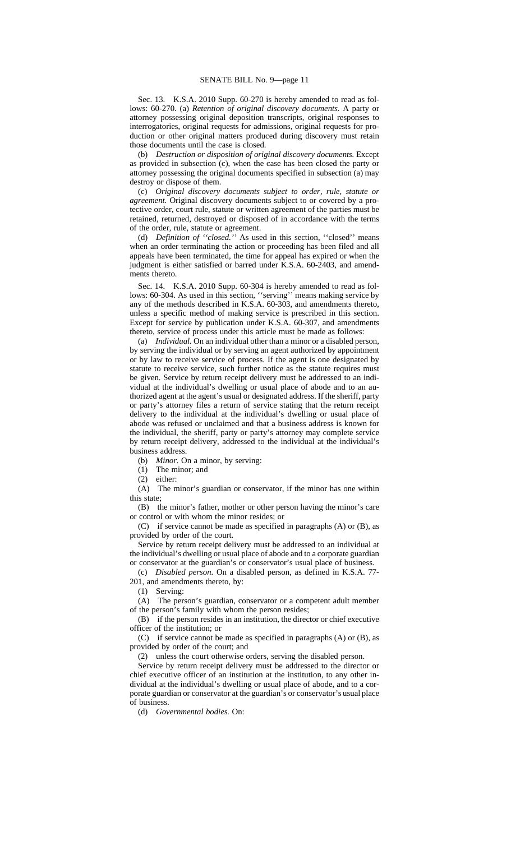Sec. 13. K.S.A. 2010 Supp. 60-270 is hereby amended to read as follows: 60-270. (a) *Retention of original discovery documents.* A party or attorney possessing original deposition transcripts, original responses to interrogatories, original requests for admissions, original requests for production or other original matters produced during discovery must retain those documents until the case is closed.

(b) *Destruction or disposition of original discovery documents.* Except as provided in subsection (c), when the case has been closed the party or attorney possessing the original documents specified in subsection (a) may destroy or dispose of them.

(c) *Original discovery documents subject to order, rule, statute or agreement.* Original discovery documents subject to or covered by a protective order, court rule, statute or written agreement of the parties must be retained, returned, destroyed or disposed of in accordance with the terms of the order, rule, statute or agreement.

(d) *Definition of ''closed.''* As used in this section, ''closed'' means when an order terminating the action or proceeding has been filed and all appeals have been terminated, the time for appeal has expired or when the judgment is either satisfied or barred under K.S.A. 60-2403, and amendments thereto.

Sec. 14. K.S.A. 2010 Supp. 60-304 is hereby amended to read as follows: 60-304. As used in this section, ''serving'' means making service by any of the methods described in K.S.A. 60-303, and amendments thereto, unless a specific method of making service is prescribed in this section. Except for service by publication under K.S.A. 60-307, and amendments thereto, service of process under this article must be made as follows:

(a) *Individual.* On an individual other than a minor or a disabled person, by serving the individual or by serving an agent authorized by appointment or by law to receive service of process. If the agent is one designated by statute to receive service, such further notice as the statute requires must be given. Service by return receipt delivery must be addressed to an individual at the individual's dwelling or usual place of abode and to an authorized agent at the agent's usual or designated address. If the sheriff, party or party's attorney files a return of service stating that the return receipt delivery to the individual at the individual's dwelling or usual place of abode was refused or unclaimed and that a business address is known for the individual, the sheriff, party or party's attorney may complete service by return receipt delivery, addressed to the individual at the individual's business address.

(b) *Minor.* On a minor, by serving:

(1) The minor; and

(2) either:

(A) The minor's guardian or conservator, if the minor has one within this state;

(B) the minor's father, mother or other person having the minor's care or control or with whom the minor resides; or

(C) if service cannot be made as specified in paragraphs (A) or (B), as provided by order of the court.

Service by return receipt delivery must be addressed to an individual at the individual's dwelling or usual place of abode and to a corporate guardian or conservator at the guardian's or conservator's usual place of business.

(c) *Disabled person.* On a disabled person, as defined in K.S.A. 77- 201, and amendments thereto, by:

(1) Serving:

(A) The person's guardian, conservator or a competent adult member of the person's family with whom the person resides;

(B) if the person resides in an institution, the director or chief executive officer of the institution; or

(C) if service cannot be made as specified in paragraphs (A) or (B), as provided by order of the court; and

(2) unless the court otherwise orders, serving the disabled person.

Service by return receipt delivery must be addressed to the director or chief executive officer of an institution at the institution, to any other individual at the individual's dwelling or usual place of abode, and to a corporate guardian or conservator at the guardian's or conservator's usual place of business.

(d) *Governmental bodies.* On: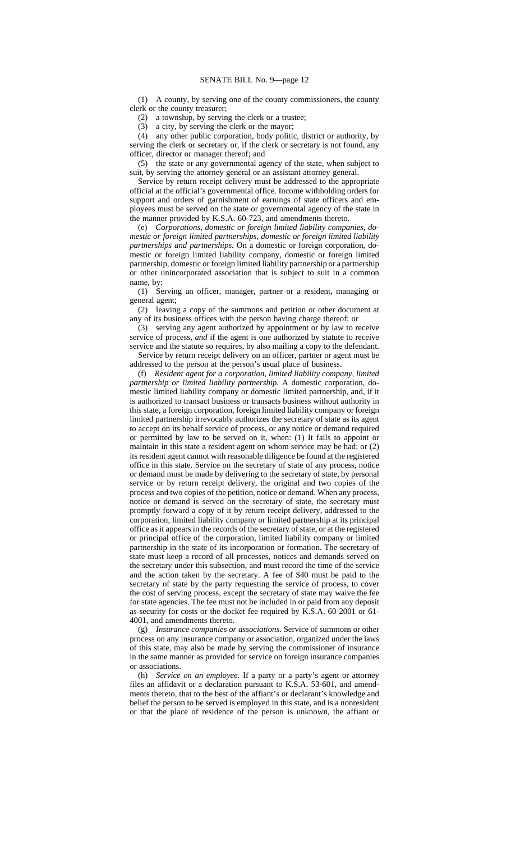(1) A county, by serving one of the county commissioners, the county clerk or the county treasurer;

(2) a township, by serving the clerk or a trustee;

(3) a city, by serving the clerk or the mayor;

(4) any other public corporation, body politic, district or authority, by serving the clerk or secretary or, if the clerk or secretary is not found, any officer, director or manager thereof; and

(5) the state or any governmental agency of the state, when subject to suit, by serving the attorney general or an assistant attorney general.

Service by return receipt delivery must be addressed to the appropriate official at the official's governmental office. Income withholding orders for support and orders of garnishment of earnings of state officers and employees must be served on the state or governmental agency of the state in the manner provided by K.S.A. 60-723, and amendments thereto.

(e) *Corporations, domestic or foreign limited liability companies, domestic or foreign limited partnerships, domestic or foreign limited liability partnerships and partnerships.* On a domestic or foreign corporation, domestic or foreign limited liability company, domestic or foreign limited partnership, domestic or foreign limited liability partnership or a partnership or other unincorporated association that is subject to suit in a common name, by:

(1) Serving an officer, manager, partner or a resident, managing or general agent;

(2) leaving a copy of the summons and petition or other document at any of its business offices with the person having charge thereof; or

(3) serving any agent authorized by appointment or by law to receive service of process, *and* if the agent is one authorized by statute to receive service and the statute so requires, by also mailing a copy to the defendant. Service by return receipt delivery on an officer, partner or agent must be

addressed to the person at the person's usual place of business. (f) *Resident agent for a corporation, limited liability company, limited*

*partnership or limited liability partnership.* A domestic corporation, domestic limited liability company or domestic limited partnership, and, if it is authorized to transact business or transacts business without authority in this state, a foreign corporation, foreign limited liability company or foreign limited partnership irrevocably authorizes the secretary of state as its agent to accept on its behalf service of process, or any notice or demand required or permitted by law to be served on it, when: (1) It fails to appoint or maintain in this state a resident agent on whom service may be had; or (2) its resident agent cannot with reasonable diligence be found at the registered office in this state. Service on the secretary of state of any process, notice or demand must be made by delivering to the secretary of state, by personal service or by return receipt delivery, the original and two copies of the process and two copies of the petition, notice or demand. When any process, notice or demand is served on the secretary of state, the secretary must promptly forward a copy of it by return receipt delivery, addressed to the corporation, limited liability company or limited partnership at its principal office as it appears in the records of the secretary of state, or at the registered or principal office of the corporation, limited liability company or limited partnership in the state of its incorporation or formation. The secretary of state must keep a record of all processes, notices and demands served on the secretary under this subsection, and must record the time of the service and the action taken by the secretary. A fee of \$40 must be paid to the secretary of state by the party requesting the service of process, to cover the cost of serving process, except the secretary of state may waive the fee for state agencies. The fee must not be included in or paid from any deposit as security for costs or the docket fee required by K.S.A. 60-2001 or 61-4001, and amendments thereto.

(g) *Insurance companies or associations.* Service of summons or other process on any insurance company or association, organized under the laws of this state, may also be made by serving the commissioner of insurance in the same manner as provided for service on foreign insurance companies or associations.

(h) *Service on an employee.* If a party or a party's agent or attorney files an affidavit or a declaration pursuant to K.S.A. 53-601, and amendments thereto, that to the best of the affiant's or declarant's knowledge and belief the person to be served is employed in this state, and is a nonresident or that the place of residence of the person is unknown, the affiant or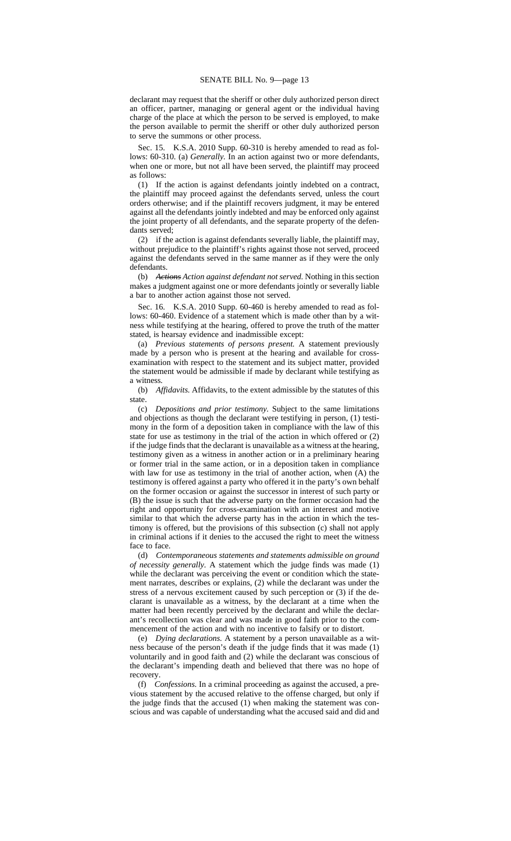declarant may request that the sheriff or other duly authorized person direct an officer, partner, managing or general agent or the individual having charge of the place at which the person to be served is employed, to make the person available to permit the sheriff or other duly authorized person to serve the summons or other process.

Sec. 15. K.S.A. 2010 Supp. 60-310 is hereby amended to read as follows: 60-310. (a) *Generally*. In an action against two or more defendants, when one or more, but not all have been served, the plaintiff may proceed as follows:

(1) If the action is against defendants jointly indebted on a contract, the plaintiff may proceed against the defendants served, unless the court orders otherwise; and if the plaintiff recovers judgment, it may be entered against all the defendants jointly indebted and may be enforced only against the joint property of all defendants, and the separate property of the defendants served;

(2) if the action is against defendants severally liable, the plaintiff may, without prejudice to the plaintiff's rights against those not served, proceed against the defendants served in the same manner as if they were the only defendants.

(b) *Actions Action against defendant not served.* Nothing in this section makes a judgment against one or more defendants jointly or severally liable a bar to another action against those not served.

Sec. 16. K.S.A. 2010 Supp. 60-460 is hereby amended to read as follows: 60-460. Evidence of a statement which is made other than by a witness while testifying at the hearing, offered to prove the truth of the matter stated, is hearsay evidence and inadmissible except:

(a) *Previous statements of persons present.* A statement previously made by a person who is present at the hearing and available for crossexamination with respect to the statement and its subject matter, provided the statement would be admissible if made by declarant while testifying as a witness.

(b) *Affidavits.* Affidavits, to the extent admissible by the statutes of this state.

(c) *Depositions and prior testimony.* Subject to the same limitations and objections as though the declarant were testifying in person, (1) testimony in the form of a deposition taken in compliance with the law of this state for use as testimony in the trial of the action in which offered or (2) if the judge finds that the declarant is unavailable as a witness at the hearing, testimony given as a witness in another action or in a preliminary hearing or former trial in the same action, or in a deposition taken in compliance with law for use as testimony in the trial of another action, when (A) the testimony is offered against a party who offered it in the party's own behalf on the former occasion or against the successor in interest of such party or (B) the issue is such that the adverse party on the former occasion had the right and opportunity for cross-examination with an interest and motive similar to that which the adverse party has in the action in which the testimony is offered, but the provisions of this subsection (c) shall not apply in criminal actions if it denies to the accused the right to meet the witness face to face.

(d) *Contemporaneous statements and statements admissible on ground of necessity generally.* A statement which the judge finds was made (1) while the declarant was perceiving the event or condition which the statement narrates, describes or explains, (2) while the declarant was under the stress of a nervous excitement caused by such perception or (3) if the declarant is unavailable as a witness, by the declarant at a time when the matter had been recently perceived by the declarant and while the declarant's recollection was clear and was made in good faith prior to the commencement of the action and with no incentive to falsify or to distort.

(e) *Dying declarations.* A statement by a person unavailable as a witness because of the person's death if the judge finds that it was made (1) voluntarily and in good faith and (2) while the declarant was conscious of the declarant's impending death and believed that there was no hope of recovery.

(f) *Confessions.* In a criminal proceeding as against the accused, a previous statement by the accused relative to the offense charged, but only if the judge finds that the accused (1) when making the statement was conscious and was capable of understanding what the accused said and did and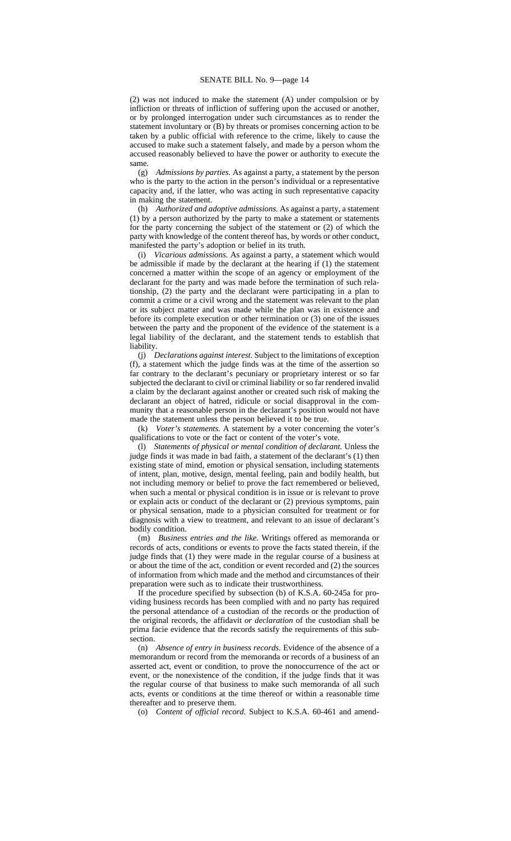(2) was not induced to make the statement (A) under compulsion or by infliction or threats of infliction of suffering upon the accused or another, or by prolonged interrogation under such circumstances as to render the statement involuntary or (B) by threats or promises concerning action to be taken by a public official with reference to the crime, likely to cause the accused to make such a statement falsely, and made by a person whom the accused reasonably believed to have the power or authority to execute the same.

(g) *Admissions by parties.* As against a party, a statement by the person who is the party to the action in the person's individual or a representative capacity and, if the latter, who was acting in such representative capacity in making the statement.

(h) *Authorized and adoptive admissions.* As against a party, a statement (1) by a person authorized by the party to make a statement or statements for the party concerning the subject of the statement or (2) of which the party with knowledge of the content thereof has, by words or other conduct, manifested the party's adoption or belief in its truth.

(i) *Vicarious admissions.* As against a party, a statement which would be admissible if made by the declarant at the hearing if (1) the statement concerned a matter within the scope of an agency or employment of the declarant for the party and was made before the termination of such relationship, (2) the party and the declarant were participating in a plan to commit a crime or a civil wrong and the statement was relevant to the plan or its subject matter and was made while the plan was in existence and before its complete execution or other termination or (3) one of the issues between the party and the proponent of the evidence of the statement is a legal liability of the declarant, and the statement tends to establish that liability.

(j) *Declarations against interest.* Subject to the limitations of exception (f), a statement which the judge finds was at the time of the assertion so far contrary to the declarant's pecuniary or proprietary interest or so far subjected the declarant to civil or criminal liability or so far rendered invalid a claim by the declarant against another or created such risk of making the declarant an object of hatred, ridicule or social disapproval in the community that a reasonable person in the declarant's position would not have made the statement unless the person believed it to be true.

(k) *Voter's statements.* A statement by a voter concerning the voter's qualifications to vote or the fact or content of the voter's vote.

(l) *Statements of physical or mental condition of declarant.* Unless the judge finds it was made in bad faith, a statement of the declarant's (1) then existing state of mind, emotion or physical sensation, including statements of intent, plan, motive, design, mental feeling, pain and bodily health, but not including memory or belief to prove the fact remembered or believed, when such a mental or physical condition is in issue or is relevant to prove or explain acts or conduct of the declarant or (2) previous symptoms, pain or physical sensation, made to a physician consulted for treatment or for diagnosis with a view to treatment, and relevant to an issue of declarant's bodily condition.

(m) *Business entries and the like.* Writings offered as memoranda or records of acts, conditions or events to prove the facts stated therein, if the judge finds that (1) they were made in the regular course of a business at or about the time of the act, condition or event recorded and (2) the sources of information from which made and the method and circumstances of their preparation were such as to indicate their trustworthiness.

If the procedure specified by subsection (b) of K.S.A. 60-245a for providing business records has been complied with and no party has required the personal attendance of a custodian of the records or the production of the original records, the affidavit *or declaration* of the custodian shall be prima facie evidence that the records satisfy the requirements of this subsection.

(n) *Absence of entry in business records.* Evidence of the absence of a memorandum or record from the memoranda or records of a business of an asserted act, event or condition, to prove the nonoccurrence of the act or event, or the nonexistence of the condition, if the judge finds that it was the regular course of that business to make such memoranda of all such acts, events or conditions at the time thereof or within a reasonable time thereafter and to preserve them.

(o) *Content of official record.* Subject to K.S.A. 60-461 and amend-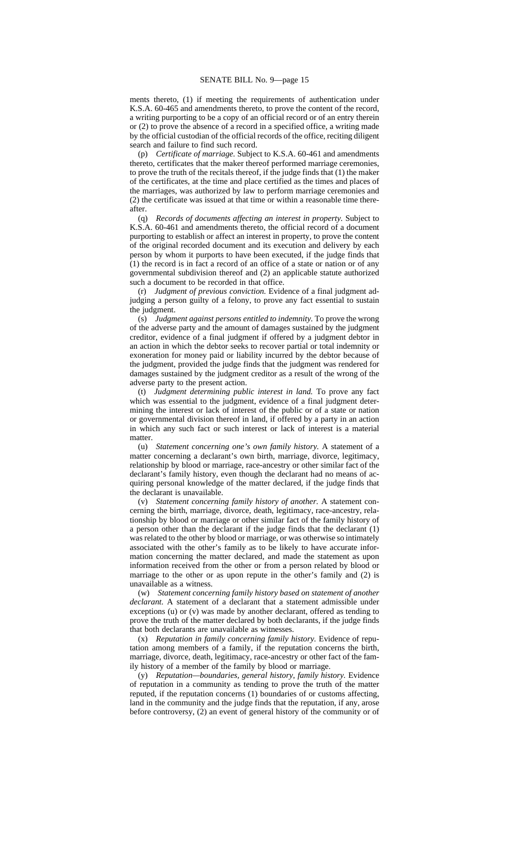ments thereto, (1) if meeting the requirements of authentication under K.S.A. 60-465 and amendments thereto, to prove the content of the record, a writing purporting to be a copy of an official record or of an entry therein or (2) to prove the absence of a record in a specified office, a writing made by the official custodian of the official records of the office, reciting diligent search and failure to find such record.

(p) *Certificate of marriage.* Subject to K.S.A. 60-461 and amendments thereto, certificates that the maker thereof performed marriage ceremonies, to prove the truth of the recitals thereof, if the judge finds that (1) the maker of the certificates, at the time and place certified as the times and places of the marriages, was authorized by law to perform marriage ceremonies and (2) the certificate was issued at that time or within a reasonable time thereafter.

(q) *Records of documents affecting an interest in property.* Subject to K.S.A. 60-461 and amendments thereto, the official record of a document purporting to establish or affect an interest in property, to prove the content of the original recorded document and its execution and delivery by each person by whom it purports to have been executed, if the judge finds that (1) the record is in fact a record of an office of a state or nation or of any governmental subdivision thereof and (2) an applicable statute authorized such a document to be recorded in that office.

(r) *Judgment of previous conviction.* Evidence of a final judgment adjudging a person guilty of a felony, to prove any fact essential to sustain the judgment.

(s) *Judgment against persons entitled to indemnity.* To prove the wrong of the adverse party and the amount of damages sustained by the judgment creditor, evidence of a final judgment if offered by a judgment debtor in an action in which the debtor seeks to recover partial or total indemnity or exoneration for money paid or liability incurred by the debtor because of the judgment, provided the judge finds that the judgment was rendered for damages sustained by the judgment creditor as a result of the wrong of the adverse party to the present action.

(t) *Judgment determining public interest in land.* To prove any fact which was essential to the judgment, evidence of a final judgment determining the interest or lack of interest of the public or of a state or nation or governmental division thereof in land, if offered by a party in an action in which any such fact or such interest or lack of interest is a material matter.

(u) *Statement concerning one's own family history.* A statement of a matter concerning a declarant's own birth, marriage, divorce, legitimacy, relationship by blood or marriage, race-ancestry or other similar fact of the declarant's family history, even though the declarant had no means of acquiring personal knowledge of the matter declared, if the judge finds that the declarant is unavailable.

(v) *Statement concerning family history of another.* A statement concerning the birth, marriage, divorce, death, legitimacy, race-ancestry, relationship by blood or marriage or other similar fact of the family history of a person other than the declarant if the judge finds that the declarant (1) was related to the other by blood or marriage, or was otherwise so intimately associated with the other's family as to be likely to have accurate information concerning the matter declared, and made the statement as upon information received from the other or from a person related by blood or marriage to the other or as upon repute in the other's family and (2) is unavailable as a witness.

(w) *Statement concerning family history based on statement of another declarant.* A statement of a declarant that a statement admissible under exceptions (u) or (v) was made by another declarant, offered as tending to prove the truth of the matter declared by both declarants, if the judge finds that both declarants are unavailable as witnesses.

(x) *Reputation in family concerning family history.* Evidence of reputation among members of a family, if the reputation concerns the birth, marriage, divorce, death, legitimacy, race-ancestry or other fact of the family history of a member of the family by blood or marriage.

(y) *Reputation—boundaries, general history, family history.* Evidence of reputation in a community as tending to prove the truth of the matter reputed, if the reputation concerns (1) boundaries of or customs affecting, land in the community and the judge finds that the reputation, if any, arose before controversy, (2) an event of general history of the community or of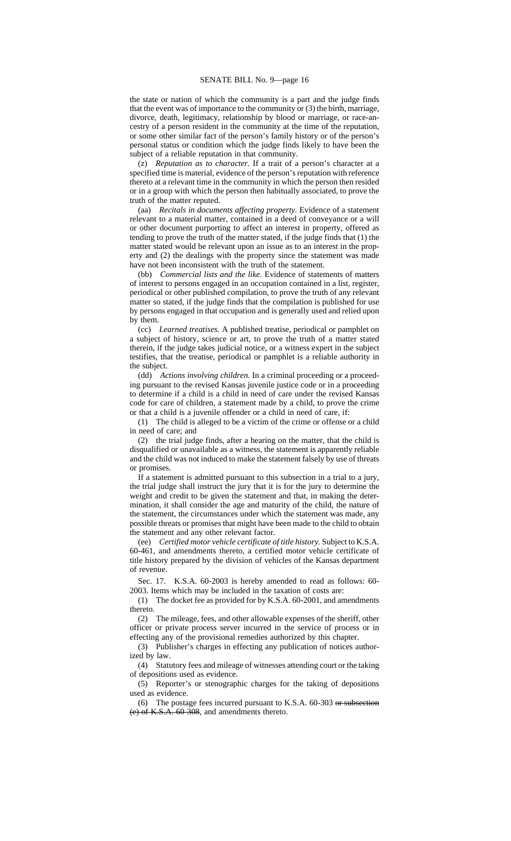the state or nation of which the community is a part and the judge finds that the event was of importance to the community or (3) the birth, marriage, divorce, death, legitimacy, relationship by blood or marriage, or race-ancestry of a person resident in the community at the time of the reputation, or some other similar fact of the person's family history or of the person's personal status or condition which the judge finds likely to have been the subject of a reliable reputation in that community.

(z) *Reputation as to character.* If a trait of a person's character at a specified time is material, evidence of the person's reputation with reference thereto at a relevant time in the community in which the person then resided or in a group with which the person then habitually associated, to prove the truth of the matter reputed.

(aa) *Recitals in documents affecting property.* Evidence of a statement relevant to a material matter, contained in a deed of conveyance or a will or other document purporting to affect an interest in property, offered as tending to prove the truth of the matter stated, if the judge finds that (1) the matter stated would be relevant upon an issue as to an interest in the property and (2) the dealings with the property since the statement was made have not been inconsistent with the truth of the statement.

(bb) *Commercial lists and the like.* Evidence of statements of matters of interest to persons engaged in an occupation contained in a list, register, periodical or other published compilation, to prove the truth of any relevant matter so stated, if the judge finds that the compilation is published for use by persons engaged in that occupation and is generally used and relied upon by them.

(cc) *Learned treatises.* A published treatise, periodical or pamphlet on a subject of history, science or art, to prove the truth of a matter stated therein, if the judge takes judicial notice, or a witness expert in the subject testifies, that the treatise, periodical or pamphlet is a reliable authority in the subject.

(dd) *Actions involving children.* In a criminal proceeding or a proceeding pursuant to the revised Kansas juvenile justice code or in a proceeding to determine if a child is a child in need of care under the revised Kansas code for care of children, a statement made by a child, to prove the crime or that a child is a juvenile offender or a child in need of care, if:

(1) The child is alleged to be a victim of the crime or offense or a child in need of care; and

(2) the trial judge finds, after a hearing on the matter, that the child is disqualified or unavailable as a witness, the statement is apparently reliable and the child was not induced to make the statement falsely by use of threats or promises.

If a statement is admitted pursuant to this subsection in a trial to a jury, the trial judge shall instruct the jury that it is for the jury to determine the weight and credit to be given the statement and that, in making the determination, it shall consider the age and maturity of the child, the nature of the statement, the circumstances under which the statement was made, any possible threats or promises that might have been made to the child to obtain the statement and any other relevant factor.

(ee) *Certified motor vehicle certificate of title history.* Subject to K.S.A. 60-461, and amendments thereto, a certified motor vehicle certificate of title history prepared by the division of vehicles of the Kansas department of revenue.

Sec. 17. K.S.A. 60-2003 is hereby amended to read as follows: 60- 2003. Items which may be included in the taxation of costs are:

(1) The docket fee as provided for by K.S.A. 60-2001, and amendments thereto.

(2) The mileage, fees, and other allowable expenses of the sheriff, other officer or private process server incurred in the service of process or in effecting any of the provisional remedies authorized by this chapter.

(3) Publisher's charges in effecting any publication of notices authorized by law.

(4) Statutory fees and mileage of witnesses attending court or the taking of depositions used as evidence.

(5) Reporter's or stenographic charges for the taking of depositions used as evidence.

(6) The postage fees incurred pursuant to K.S.A. 60-303 or subsection (e) of K.S.A. 60-308, and amendments thereto.